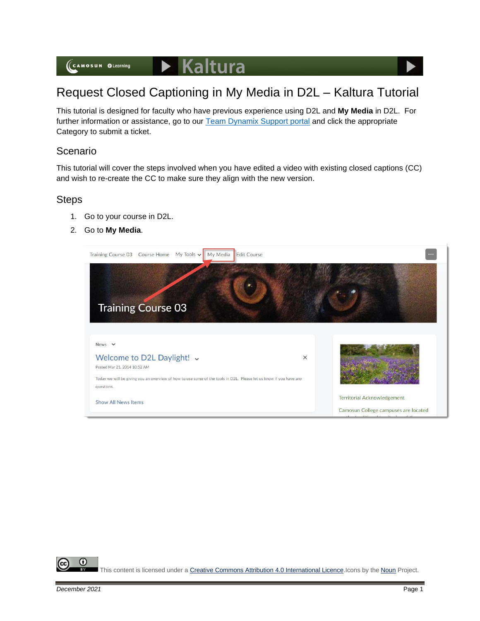(CAMOSUN @Learning

## $\blacktriangleright$  Kaltura

# Request Closed Captioning in My Media in D2L – Kaltura Tutorial

This tutorial is designed for faculty who have previous experience using D2L and **My Media** in D2L. For further information or assistance, go to our [Team Dynamix Support portal](https://camosun.teamdynamix.com/TDClient/67/Portal/Requests/ServiceCatalog?CategoryID=523) and click the appropriate Category to submit a ticket.

#### Scenario

This tutorial will cover the steps involved when you have edited a video with existing closed captions (CC) and wish to re-create the CC to make sure they align with the new version.

#### Steps

- 1. Go to your course in D2L.
- 2. Go to **My Media**.



⋒ This content is licensed under [a Creative Commons Attribution 4.0 International Licence.I](https://creativecommons.org/licenses/by/4.0/)cons by the [Noun](https://creativecommons.org/website-icons/) Project.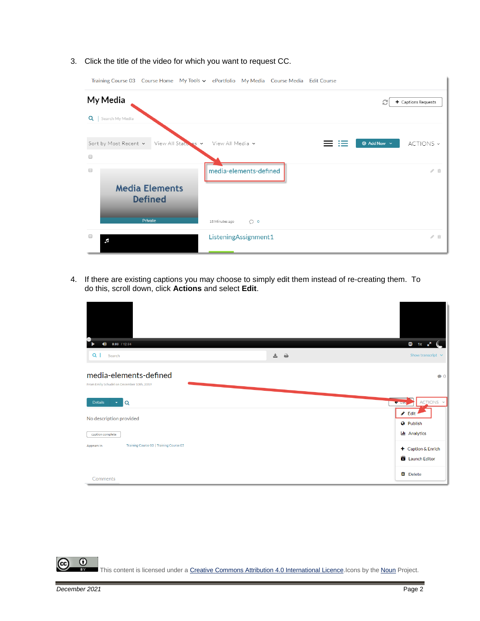3. Click the title of the video for which you want to request CC.



4. If there are existing captions you may choose to simply edit them instead of re-creating them. To do this, scroll down, click **Actions** and select **Edit**.

| $0:00$ / 12:04<br>O)                                                |     | $\bullet$ 1x $\bullet$ <sup>7</sup>                  |
|---------------------------------------------------------------------|-----|------------------------------------------------------|
| Q<br>Search                                                         | 去 台 | Show transcript $\vee$                               |
| media-elements-defined<br>From Emily Schudel on December 10th, 2019 |     | $\bullet$ 0                                          |
| Details<br>Q                                                        |     | ACTIONS V<br><b>C</b> Doc                            |
| No description provided<br>caption complete                         |     | $\triangle$ Edit<br><b>O</b> Publish<br>Lu Analytics |
| Training Course 03   Training Course 05<br>Appears In               |     | + Caption & Enrich<br>Launch Editor                  |
| Comments                                                            |     | <b>O</b> Delete                                      |

 $\odot$ This content is licensed under [a Creative Commons Attribution 4.0 International Licence.I](https://creativecommons.org/licenses/by/4.0/)cons by the [Noun](https://creativecommons.org/website-icons/) Project.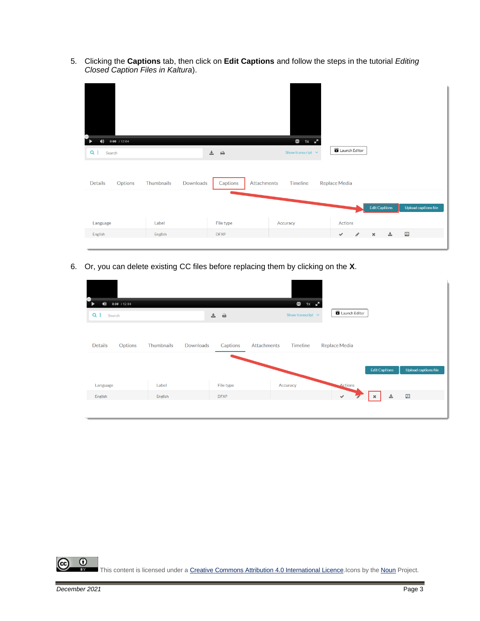5. Clicking the **Captions** tab, then click on **Edit Captions** and follow the steps in the tutorial *Editing Closed Caption Files in Kaltura*).

| т<br>$0:00$ / 12:04<br>$\blacklozenge$<br>$Q \mid$<br>Search |                                | 吉。<br>$\Rightarrow$     | $\mathbf{G}$<br>$1x \t x^2$<br>Show transcript $\;\;\vee\;$ | Launch Editor |   |                      |                      |
|--------------------------------------------------------------|--------------------------------|-------------------------|-------------------------------------------------------------|---------------|---|----------------------|----------------------|
| <b>Details</b><br>Options                                    | Thumbnails<br><b>Downloads</b> | Captions<br>Attachments | Timeline                                                    | Replace Media |   |                      |                      |
|                                                              |                                |                         |                                                             |               |   | <b>Edit Captions</b> | Upload captions file |
| Language                                                     | Label                          | File type               | Accuracy                                                    | Actions       |   |                      |                      |
| English                                                      | English                        | <b>DFXP</b>             |                                                             | $\checkmark$  | ◢ | 击<br>$\pmb{\times}$  | 国                    |

6. Or, you can delete existing CC files before replacing them by clicking on the **X**.

| ,<br>$0:00$ / 12:04<br>$\blacklozenge$<br>$Q \mid$<br>Search |            | 盂<br>$\ddot{=}$       | 3<br>$1x \cdot x^2$<br>Show transcript $\vee$ | <b>B</b> Launch Editor |                      |                      |
|--------------------------------------------------------------|------------|-----------------------|-----------------------------------------------|------------------------|----------------------|----------------------|
| <b>Details</b><br>Options                                    | Thumbnails | Downloads<br>Captions | Attachments<br>Timeline                       | Replace Media          |                      |                      |
| Language                                                     | Label      | File type             | Accuracy                                      | Actions                | <b>Edit Captions</b> | Upload captions file |
| English                                                      | English    | <b>DFXP</b>           |                                               | $\checkmark$           | 志<br>$\pmb{\times}$  | $\Box$               |

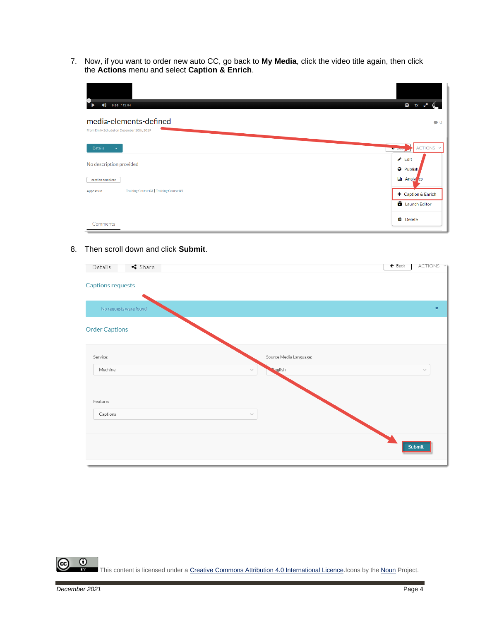7. Now, if you want to order new auto CC, go back to **My Media**, click the video title again, then click the **Actions** menu and select **Caption & Enrich**.

| $0:00$ / 12:04<br>$\blacklozenge$                                   | $C = 1x$                             |
|---------------------------------------------------------------------|--------------------------------------|
| media-elements-defined<br>From Emily Schudel on December 10th, 2019 | $\bullet$ 0                          |
| Details<br>$\mathbf{v}$                                             | ACTIONS Y<br><b>STATISTICS</b>       |
| No description provided                                             | $\triangle$ Edit<br><b>O</b> Publish |
| caption complete                                                    | Lui Analy cs                         |
| Training Course 03   Training Course 05<br>Appears In               | + Caption & Enrich                   |
|                                                                     | Launch Editor                        |
| Comments                                                            | <b>II</b> Delete                     |

#### 8. Then scroll down and click **Submit**.

| Share<br>Details         | ACTIONS Y<br>$\leftarrow$ Back |  |
|--------------------------|--------------------------------|--|
| <b>Captions requests</b> |                                |  |
| No requests were found   | $\pmb{\times}$                 |  |
| <b>Order Captions</b>    |                                |  |
| Service:                 | Source Media Language:         |  |
| Machine<br>$\vee$        | <b>Soglish</b><br>$\sim$       |  |
| Feature:                 |                                |  |
| Captions<br>$\sim$       |                                |  |
|                          | Submit                         |  |

 $\overline{0}$ (cc This content is licensed under [a Creative Commons Attribution 4.0 International Licence.I](https://creativecommons.org/licenses/by/4.0/)cons by the [Noun](https://creativecommons.org/website-icons/) Project.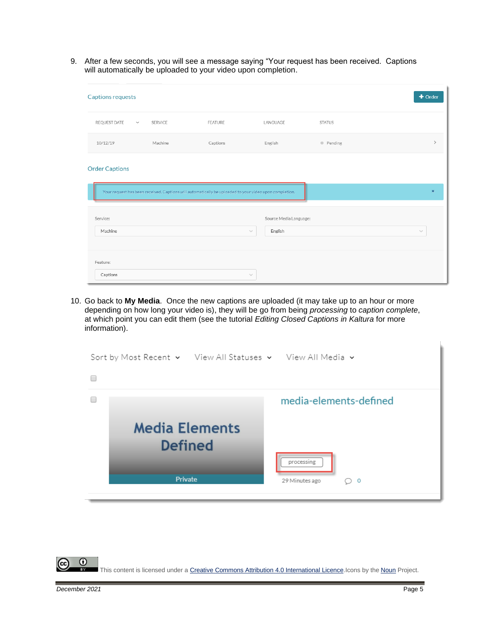9. After a few seconds, you will see a message saying "Your request has been received. Captions will automatically be uploaded to your video upon completion.

| <b>Captions requests</b> |         |                                                                                                        |                        |               | $+$ Order     |
|--------------------------|---------|--------------------------------------------------------------------------------------------------------|------------------------|---------------|---------------|
| REQUEST DATE V           | SERVICE | FEATURE                                                                                                | LANGUAGE               | <b>STATUS</b> |               |
| 10/12/19                 | Machine | Captions                                                                                               | English                | • Pending     | $\rightarrow$ |
| <b>Order Captions</b>    |         |                                                                                                        |                        |               |               |
|                          |         | Your request has been received. Captions will automatically be uploaded to your video upon completion. |                        |               | ×             |
| Service:                 |         |                                                                                                        | Source Media Language: |               |               |
| Machine                  |         | $\searrow$                                                                                             | English                |               | $\checkmark$  |
| Feature:                 |         |                                                                                                        |                        |               |               |
| Captions                 |         | $\searrow$                                                                                             |                        |               |               |

10. Go back to **My Media**. Once the new captions are uploaded (it may take up to an hour or more depending on how long your video is), they will be go from being *processing* to *caption complete*, at which point you can edit them (see the tutorial *Editing Closed Captions in Kaltura* for more information).

| Sort by Most Recent v View All Statuses v View All Media v |                                   |  |  |  |
|------------------------------------------------------------|-----------------------------------|--|--|--|
|                                                            |                                   |  |  |  |
|                                                            | media-elements-defined            |  |  |  |
| <b>Media Elements</b><br><b>Defined</b><br>Private         | processing<br>29 Minutes ago<br>0 |  |  |  |

 $\odot$ This content is licensed under [a Creative Commons Attribution 4.0 International Licence.I](https://creativecommons.org/licenses/by/4.0/)cons by the [Noun](https://creativecommons.org/website-icons/) Project.